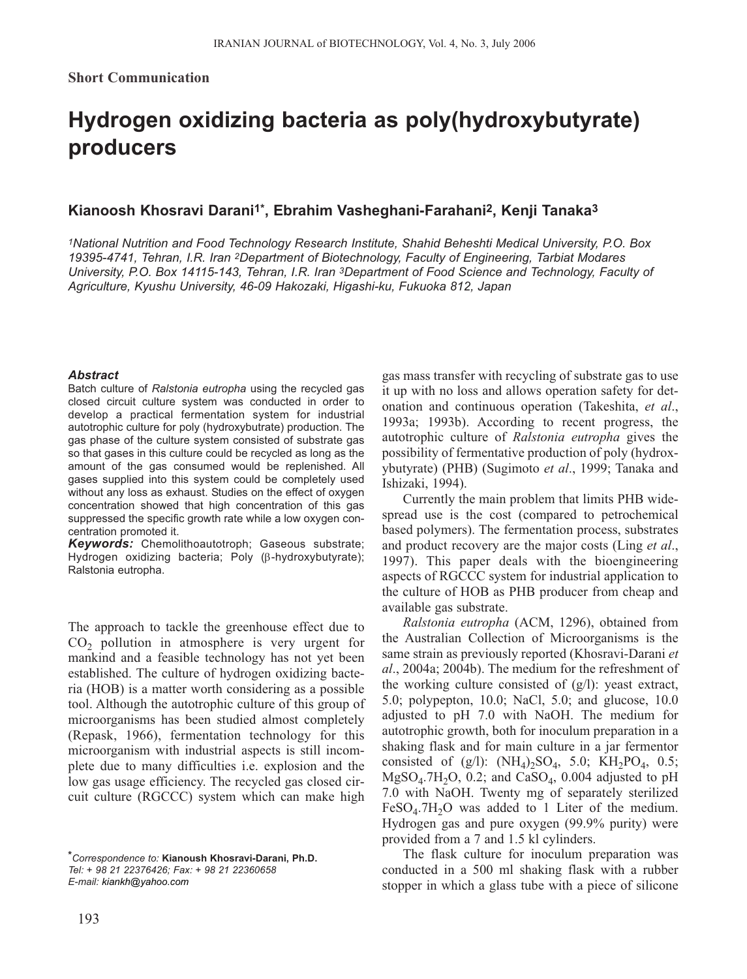## **Short Communication**

# **Hydrogen oxidizing bacteria as poly(hydroxybutyrate) producers**

## **Kianoosh Khosravi Darani1\*, Ebrahim Vasheghani-Farahani2, Kenji Tanaka3**

*1National Nutrition and Food Technology Research Institute, Shahid Beheshti Medical University, P.O. Box 19395-4741, Tehran, I.R. Iran 2Department of Biotechnology, Faculty of Engineering, Tarbiat Modares University, P.O. Box 14115-143, Tehran, I.R. Iran 3Department of Food Science and Technology, Faculty of Agriculture, Kyushu University, 46-09 Hakozaki, Higashi-ku, Fukuoka 812, Japan*

### *Abstract*

Batch culture of *Ralstonia eutropha* using the recycled gas closed circuit culture system was conducted in order to develop a practical fermentation system for industrial autotrophic culture for poly (hydroxybutrate) production. The gas phase of the culture system consisted of substrate gas so that gases in this culture could be recycled as long as the amount of the gas consumed would be replenished. All gases supplied into this system could be completely used without any loss as exhaust. Studies on the effect of oxygen concentration showed that high concentration of this gas suppressed the specific growth rate while a low oxygen concentration promoted it.

*Keywords:* Chemolithoautotroph; Gaseous substrate; Hydrogen oxidizing bacteria; Poly (β-hydroxybutyrate); Ralstonia eutropha.

The approach to tackle the greenhouse effect due to  $CO<sub>2</sub>$  pollution in atmosphere is very urgent for mankind and a feasible technology has not yet been established. The culture of hydrogen oxidizing bacteria (HOB) is a matter worth considering as a possible tool. Although the autotrophic culture of this group of microorganisms has been studied almost completely (Repask, 1966), fermentation technology for this microorganism with industrial aspects is still incomplete due to many difficulties i.e. explosion and the low gas usage efficiency. The recycled gas closed circuit culture (RGCCC) system which can make high

*\*Correspondence to:* **Kianoush Khosravi-Darani, Ph.D.**  *Tel: + 98 21 22376426; Fax: + 98 21 22360658 E-mail: kiankh@yahoo.com*

gas mass transfer with recycling of substrate gas to use it up with no loss and allows operation safety for detonation and continuous operation (Takeshita, *et al*., 1993a; 1993b). According to recent progress, the autotrophic culture of *Ralstonia eutropha* gives the possibility of fermentative production of poly (hydroxybutyrate) (PHB) (Sugimoto *et al*., 1999; Tanaka and Ishizaki, 1994).

Currently the main problem that limits PHB widespread use is the cost (compared to petrochemical based polymers). The fermentation process, substrates and product recovery are the major costs (Ling *et al*., 1997). This paper deals with the bioengineering aspects of RGCCC system for industrial application to the culture of HOB as PHB producer from cheap and available gas substrate.

*Ralstonia eutropha* (ACM, 1296), obtained from the Australian Collection of Microorganisms is the same strain as previously reported (Khosravi-Darani *et al*., 2004a; 2004b). The medium for the refreshment of the working culture consisted of  $(g/l)$ : yeast extract, 5.0; polypepton, 10.0; NaCl, 5.0; and glucose, 10.0 adjusted to pH 7.0 with NaOH. The medium for autotrophic growth, both for inoculum preparation in a shaking flask and for main culture in a jar fermentor consisted of  $(g/l)$ :  $(NH_4)_2SO_4$ , 5.0;  $KH_2PO_4$ , 0.5;  $MgSO<sub>4</sub>$ .7H<sub>2</sub>O, 0.2; and CaSO<sub>4</sub>, 0.004 adjusted to pH 7.0 with NaOH. Twenty mg of separately sterilized  $FeSO<sub>4</sub>$ .7H<sub>2</sub>O was added to 1 Liter of the medium. Hydrogen gas and pure oxygen (99.9% purity) were provided from a 7 and 1.5 kl cylinders.

The flask culture for inoculum preparation was conducted in a 500 ml shaking flask with a rubber stopper in which a glass tube with a piece of silicone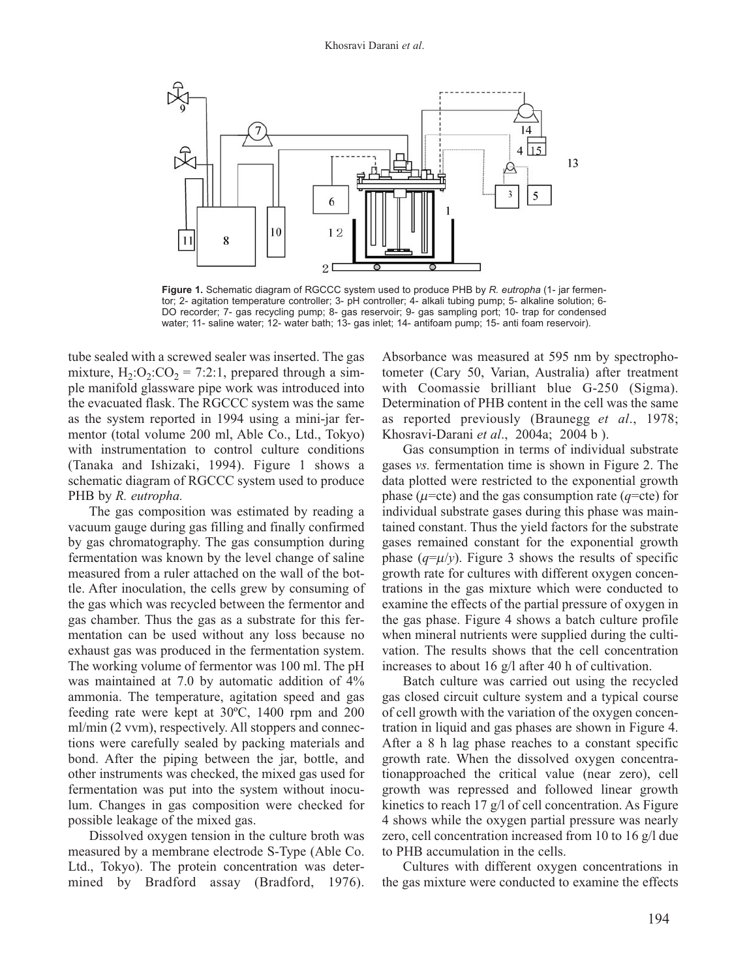

**Figure 1.** Schematic diagram of RGCCC system used to produce PHB by *R. eutropha* (1- jar fermentor; 2- agitation temperature controller; 3- pH controller; 4- alkali tubing pump; 5- alkaline solution; 6- DO recorder; 7- gas recycling pump; 8- gas reservoir; 9- gas sampling port; 10- trap for condensed water; 11- saline water; 12- water bath; 13- gas inlet; 14- antifoam pump; 15- anti foam reservoir).

tube sealed with a screwed sealer was inserted. The gas mixture,  $H_2:O_2:CO_2 = 7:2:1$ , prepared through a simple manifold glassware pipe work was introduced into the evacuated flask. The RGCCC system was the same as the system reported in 1994 using a mini-jar fermentor (total volume 200 ml, Able Co., Ltd., Tokyo) with instrumentation to control culture conditions (Tanaka and Ishizaki, 1994). Figure 1 shows a schematic diagram of RGCCC system used to produce PHB by *R. eutropha.*

The gas composition was estimated by reading a vacuum gauge during gas filling and finally confirmed by gas chromatography. The gas consumption during fermentation was known by the level change of saline measured from a ruler attached on the wall of the bottle. After inoculation, the cells grew by consuming of the gas which was recycled between the fermentor and gas chamber. Thus the gas as a substrate for this fermentation can be used without any loss because no exhaust gas was produced in the fermentation system. The working volume of fermentor was 100 ml. The pH was maintained at 7.0 by automatic addition of 4% ammonia. The temperature, agitation speed and gas feeding rate were kept at 30ºC, 1400 rpm and 200 ml/min (2 vvm), respectively. All stoppers and connections were carefully sealed by packing materials and bond. After the piping between the jar, bottle, and other instruments was checked, the mixed gas used for fermentation was put into the system without inoculum. Changes in gas composition were checked for possible leakage of the mixed gas.

Dissolved oxygen tension in the culture broth was measured by a membrane electrode S-Type (Able Co. Ltd., Tokyo). The protein concentration was determined by Bradford assay (Bradford, 1976). Absorbance was measured at 595 nm by spectrophotometer (Cary 50, Varian, Australia) after treatment with Coomassie brilliant blue G-250 (Sigma). Determination of PHB content in the cell was the same as reported previously (Braunegg *et al*., 1978; Khosravi-Darani *et al*., 2004a; 2004 b ).

Gas consumption in terms of individual substrate gases *vs.* fermentation time is shown in Figure 2. The data plotted were restricted to the exponential growth phase ( $\mu$ =cte) and the gas consumption rate ( $\eta$ =cte) for individual substrate gases during this phase was maintained constant. Thus the yield factors for the substrate gases remained constant for the exponential growth phase  $(q=\mu/\nu)$ . Figure 3 shows the results of specific growth rate for cultures with different oxygen concentrations in the gas mixture which were conducted to examine the effects of the partial pressure of oxygen in the gas phase. Figure 4 shows a batch culture profile when mineral nutrients were supplied during the cultivation. The results shows that the cell concentration increases to about 16 g/l after 40 h of cultivation.

Batch culture was carried out using the recycled gas closed circuit culture system and a typical course of cell growth with the variation of the oxygen concentration in liquid and gas phases are shown in Figure 4. After a 8 h lag phase reaches to a constant specific growth rate. When the dissolved oxygen concentrationapproached the critical value (near zero), cell growth was repressed and followed linear growth kinetics to reach 17 g/l of cell concentration. As Figure 4 shows while the oxygen partial pressure was nearly zero, cell concentration increased from 10 to 16 g/l due to PHB accumulation in the cells.

Cultures with different oxygen concentrations in the gas mixture were conducted to examine the effects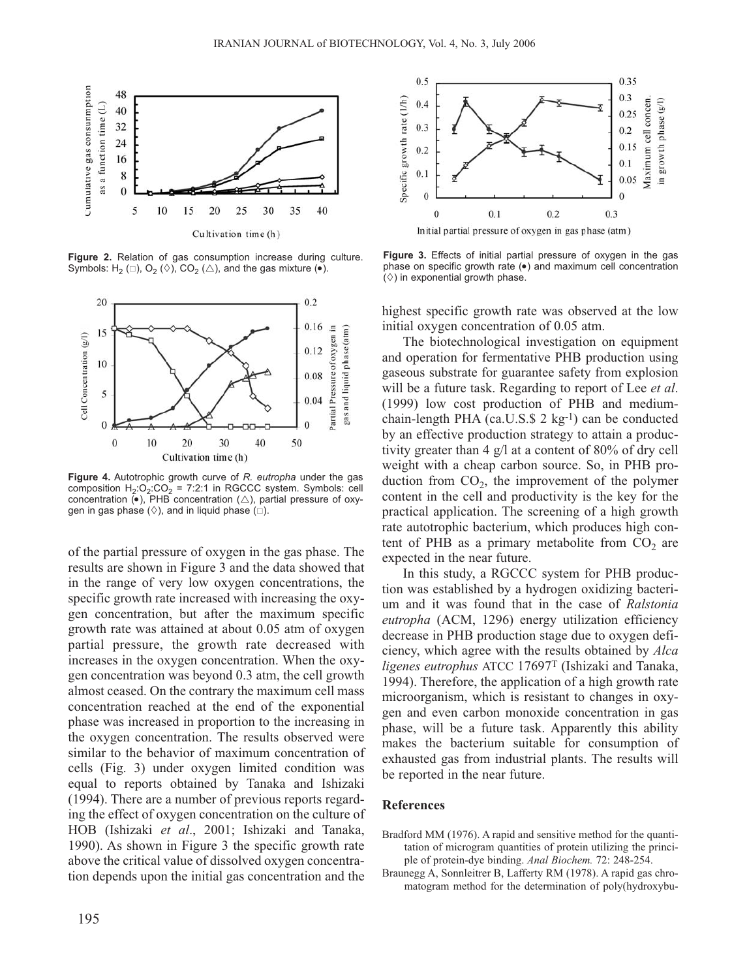

**Figure 2.** Relation of gas consumption increase during culture. Symbols: H<sub>2</sub> ( $\Box$ ), O<sub>2</sub> ( $\Diamond$ ), CO<sub>2</sub> ( $\triangle$ ), and the gas mixture ( $\bullet$ ).



**Figure 4.** Autotrophic growth curve of *R. eutropha* under the gas composition  $H_2:O_2:CO_2 = 7:2:1$  in RGCCC system. Symbols: cell concentration  $\overline{(\bullet)}$ , PHB concentration ( $\triangle$ ), partial pressure of oxygen in gas phase ( $\diamond$ ), and in liquid phase ( $\Box$ ).

of the partial pressure of oxygen in the gas phase. The results are shown in Figure 3 and the data showed that in the range of very low oxygen concentrations, the specific growth rate increased with increasing the oxygen concentration, but after the maximum specific growth rate was attained at about 0.05 atm of oxygen partial pressure, the growth rate decreased with increases in the oxygen concentration. When the oxygen concentration was beyond 0.3 atm, the cell growth almost ceased. On the contrary the maximum cell mass concentration reached at the end of the exponential phase was increased in proportion to the increasing in the oxygen concentration. The results observed were similar to the behavior of maximum concentration of cells (Fig. 3) under oxygen limited condition was equal to reports obtained by Tanaka and Ishizaki (1994). There are a number of previous reports regarding the effect of oxygen concentration on the culture of HOB (Ishizaki *et al*., 2001; Ishizaki and Tanaka, 1990). As shown in Figure 3 the specific growth rate above the critical value of dissolved oxygen concentration depends upon the initial gas concentration and the



Figure 3. Effects of initial partial pressure of oxygen in the gas phase on specific growth rate (•) and maximum cell concentration  $(\Diamond)$  in exponential growth phase.

highest specific growth rate was observed at the low initial oxygen concentration of 0.05 atm.

The biotechnological investigation on equipment and operation for fermentative PHB production using gaseous substrate for guarantee safety from explosion will be a future task. Regarding to report of Lee *et al*. (1999) low cost production of PHB and mediumchain-length PHA (ca.U.S.\$ 2 kg-1) can be conducted by an effective production strategy to attain a productivity greater than 4 g/l at a content of 80% of dry cell weight with a cheap carbon source. So, in PHB production from  $CO<sub>2</sub>$ , the improvement of the polymer content in the cell and productivity is the key for the practical application. The screening of a high growth rate autotrophic bacterium, which produces high content of PHB as a primary metabolite from  $CO<sub>2</sub>$  are expected in the near future.

In this study, a RGCCC system for PHB production was established by a hydrogen oxidizing bacterium and it was found that in the case of *Ralstonia eutropha* (ACM, 1296) energy utilization efficiency decrease in PHB production stage due to oxygen deficiency, which agree with the results obtained by *Alca ligenes eutrophus* ATCC 17697T (Ishizaki and Tanaka, 1994). Therefore, the application of a high growth rate microorganism, which is resistant to changes in oxygen and even carbon monoxide concentration in gas phase, will be a future task. Apparently this ability makes the bacterium suitable for consumption of exhausted gas from industrial plants. The results will be reported in the near future.

#### **References**

- Bradford MM (1976). A rapid and sensitive method for the quantitation of microgram quantities of protein utilizing the principle of protein-dye binding. *Anal Biochem.* 72: 248-254.
- Braunegg A, Sonnleitrer B, Lafferty RM (1978). A rapid gas chromatogram method for the determination of poly(hydroxybu-